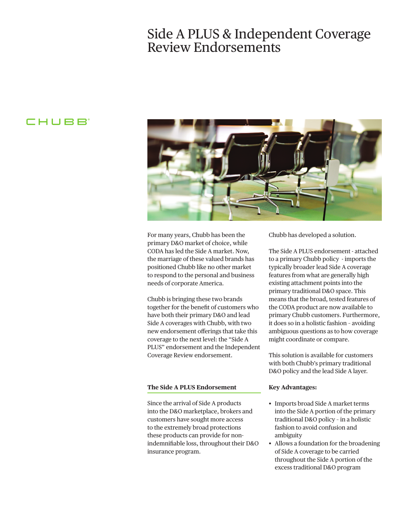# Side A PLUS & Independent Coverage Review Endorsements

### **CHUBB**



For many years, Chubb has been the primary D&O market of choice, while CODA has led the Side A market. Now, the marriage of these valued brands has positioned Chubb like no other market to respond to the personal and business needs of corporate America.

Chubb is bringing these two brands together for the beneft of customers who have both their primary D&O and lead Side A coverages with Chubb, with two new endorsement oferings that take this coverage to the next level: the "Side A PLUS" endorsement and the Independent Coverage Review endorsement.

#### **The Side A PLUS Endorsement**

Since the arrival of Side A products into the D&O marketplace, brokers and customers have sought more access to the extremely broad protections these products can provide for nonindemnifable loss, throughout their D&O insurance program.

Chubb has developed a solution.

The Side A PLUS endorsement - attached to a primary Chubb policy - imports the typically broader lead Side A coverage features from what are generally high existing attachment points into the primary traditional D&O space. This means that the broad, tested features of the CODA product are now available to primary Chubb customers. Furthermore, it does so in a holistic fashion – avoiding ambiguous questions as to how coverage might coordinate or compare.

This solution is available for customers with both Chubb's primary traditional D&O policy and the lead Side A layer.

#### **Key Advantages:**

- Imports broad Side A market terms into the Side A portion of the primary traditional D&O policy – in a holistic fashion to avoid confusion and ambiguity
- Allows a foundation for the broadening of Side A coverage to be carried throughout the Side A portion of the excess traditional D&O program